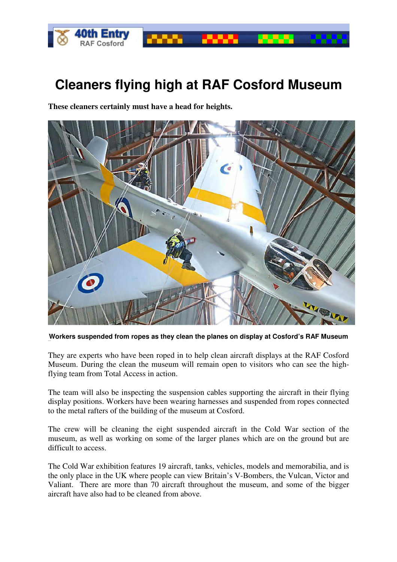

## **Cleaners flying high at RAF Cosford Museum**

**These cleaners certainly must have a head for heights.**



**Workers suspended from ropes as they clean the planes on display at Cosford's RAF Museum** 

They are experts who have been roped in to help clean aircraft displays at the RAF Cosford Museum. During the clean the museum will remain open to visitors who can see the highflying team from Total Access in action.

The team will also be inspecting the suspension cables supporting the aircraft in their flying display positions. Workers have been wearing harnesses and suspended from ropes connected to the metal rafters of the building of the museum at Cosford.

The crew will be cleaning the eight suspended aircraft in the Cold War section of the museum, as well as working on some of the larger planes which are on the ground but are difficult to access.

The Cold War exhibition features 19 aircraft, tanks, vehicles, models and memorabilia, and is the only place in the UK where people can view Britain's V-Bombers, the Vulcan, Victor and Valiant. There are more than 70 aircraft throughout the museum, and some of the bigger aircraft have also had to be cleaned from above.